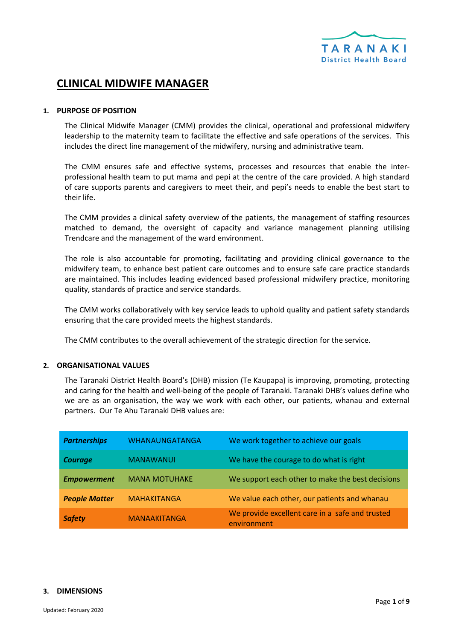

# **CLINICAL MIDWIFE MANAGER**

#### **1. PURPOSE OF POSITION**

The Clinical Midwife Manager (CMM) provides the clinical, operational and professional midwifery leadership to the maternity team to facilitate the effective and safe operations of the services. This includes the direct line management of the midwifery, nursing and administrative team.

The CMM ensures safe and effective systems, processes and resources that enable the interprofessional health team to put mama and pepi at the centre of the care provided. A high standard of care supports parents and caregivers to meet their, and pepi's needs to enable the best start to their life.

The CMM provides a clinical safety overview of the patients, the management of staffing resources matched to demand, the oversight of capacity and variance management planning utilising Trendcare and the management of the ward environment.

The role is also accountable for promoting, facilitating and providing clinical governance to the midwifery team, to enhance best patient care outcomes and to ensure safe care practice standards are maintained. This includes leading evidenced based professional midwifery practice, monitoring quality, standards of practice and service standards.

The CMM works collaboratively with key service leads to uphold quality and patient safety standards ensuring that the care provided meets the highest standards.

The CMM contributes to the overall achievement of the strategic direction for the service.

#### **2. ORGANISATIONAL VALUES**

The Taranaki District Health Board's (DHB) mission (Te Kaupapa) is improving, promoting, protecting and caring for the health and well-being of the people of Taranaki. Taranaki DHB's values define who we are as an organisation, the way we work with each other, our patients, whanau and external partners. Our Te Ahu Taranaki DHB values are:

| <b>Partnerships</b>  | <b>WHANAUNGATANGA</b> | We work together to achieve our goals                          |
|----------------------|-----------------------|----------------------------------------------------------------|
| <b>Courage</b>       | <b>MANAWANUI</b>      | We have the courage to do what is right                        |
| <b>Empowerment</b>   | <b>MANA MOTUHAKE</b>  | We support each other to make the best decisions               |
| <b>People Matter</b> | <b>MAHAKITANGA</b>    | We value each other, our patients and whanau                   |
| <b>Safety</b>        | <b>MANAAKITANGA</b>   | We provide excellent care in a safe and trusted<br>environment |

#### **3. DIMENSIONS**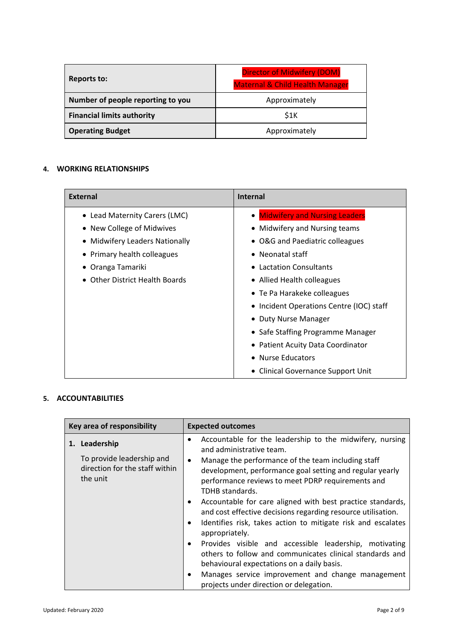| <b>Reports to:</b>                | <b>Director of Midwifery (DOM)</b><br><b>Maternal &amp; Child Health Manager</b> |
|-----------------------------------|----------------------------------------------------------------------------------|
| Number of people reporting to you | Approximately                                                                    |
| <b>Financial limits authority</b> | \$1K                                                                             |
| <b>Operating Budget</b>           | Approximately                                                                    |

## **4. WORKING RELATIONSHIPS**

| <b>External</b>                                  | <b>Internal</b>                          |
|--------------------------------------------------|------------------------------------------|
| • Lead Maternity Carers (LMC)                    | • Midwifery and Nursing Leaders          |
| • New College of Midwives                        | • Midwifery and Nursing teams            |
| <b>Midwifery Leaders Nationally</b><br>$\bullet$ | • O&G and Paediatric colleagues          |
| Primary health colleagues                        | $\bullet$ Neonatal staff                 |
| Oranga Tamariki                                  | • Lactation Consultants                  |
| <b>Other District Health Boards</b>              | • Allied Health colleagues               |
|                                                  | • Te Pa Harakeke colleagues              |
|                                                  | • Incident Operations Centre (IOC) staff |
|                                                  | • Duty Nurse Manager                     |
|                                                  | • Safe Staffing Programme Manager        |
|                                                  | • Patient Acuity Data Coordinator        |
|                                                  | • Nurse Educators                        |
|                                                  | • Clinical Governance Support Unit       |

## **5. ACCOUNTABILITIES**

| Key area of responsibility                                                               | <b>Expected outcomes</b>                                                                                                                                                                                                                                                                                                                                                                                                                                                                                                                                                                                                                                                                                                                                                                                                                 |
|------------------------------------------------------------------------------------------|------------------------------------------------------------------------------------------------------------------------------------------------------------------------------------------------------------------------------------------------------------------------------------------------------------------------------------------------------------------------------------------------------------------------------------------------------------------------------------------------------------------------------------------------------------------------------------------------------------------------------------------------------------------------------------------------------------------------------------------------------------------------------------------------------------------------------------------|
| 1. Leadership<br>To provide leadership and<br>direction for the staff within<br>the unit | Accountable for the leadership to the midwifery, nursing<br>٠<br>and administrative team.<br>Manage the performance of the team including staff<br>$\bullet$<br>development, performance goal setting and regular yearly<br>performance reviews to meet PDRP requirements and<br>TDHB standards.<br>Accountable for care aligned with best practice standards,<br>$\bullet$<br>and cost effective decisions regarding resource utilisation.<br>Identifies risk, takes action to mitigate risk and escalates<br>$\bullet$<br>appropriately.<br>Provides visible and accessible leadership, motivating<br>$\bullet$<br>others to follow and communicates clinical standards and<br>behavioural expectations on a daily basis.<br>Manages service improvement and change management<br>$\bullet$<br>projects under direction or delegation. |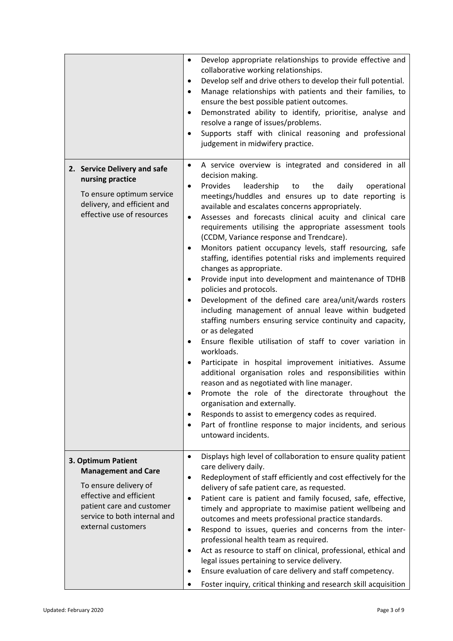|                                                                                                                                                                                         | Develop appropriate relationships to provide effective and<br>$\bullet$<br>collaborative working relationships.<br>Develop self and drive others to develop their full potential.<br>٠<br>Manage relationships with patients and their families, to<br>٠<br>ensure the best possible patient outcomes.<br>Demonstrated ability to identify, prioritise, analyse and<br>٠<br>resolve a range of issues/problems.<br>Supports staff with clinical reasoning and professional<br>$\bullet$<br>judgement in midwifery practice.                                                                                                                                                                                                                                                                                                                                                                                                                                                                                                                                                                                                                                                                                                                                                                                                                                                                                             |
|-----------------------------------------------------------------------------------------------------------------------------------------------------------------------------------------|-------------------------------------------------------------------------------------------------------------------------------------------------------------------------------------------------------------------------------------------------------------------------------------------------------------------------------------------------------------------------------------------------------------------------------------------------------------------------------------------------------------------------------------------------------------------------------------------------------------------------------------------------------------------------------------------------------------------------------------------------------------------------------------------------------------------------------------------------------------------------------------------------------------------------------------------------------------------------------------------------------------------------------------------------------------------------------------------------------------------------------------------------------------------------------------------------------------------------------------------------------------------------------------------------------------------------------------------------------------------------------------------------------------------------|
| 2. Service Delivery and safe<br>nursing practice<br>To ensure optimum service<br>delivery, and efficient and<br>effective use of resources                                              | A service overview is integrated and considered in all<br>٠<br>decision making.<br>Provides<br>leadership<br>daily<br>the<br>operational<br>to<br>$\bullet$<br>meetings/huddles and ensures up to date reporting is<br>available and escalates concerns appropriately.<br>Assesses and forecasts clinical acuity and clinical care<br>٠<br>requirements utilising the appropriate assessment tools<br>(CCDM, Variance response and Trendcare).<br>Monitors patient occupancy levels, staff resourcing, safe<br>$\bullet$<br>staffing, identifies potential risks and implements required<br>changes as appropriate.<br>Provide input into development and maintenance of TDHB<br>$\bullet$<br>policies and protocols.<br>Development of the defined care area/unit/wards rosters<br>including management of annual leave within budgeted<br>staffing numbers ensuring service continuity and capacity,<br>or as delegated<br>Ensure flexible utilisation of staff to cover variation in<br>٠<br>workloads.<br>Participate in hospital improvement initiatives. Assume<br>٠<br>additional organisation roles and responsibilities within<br>reason and as negotiated with line manager.<br>Promote the role of the directorate throughout the<br>organisation and externally.<br>Responds to assist to emergency codes as required.<br>Part of frontline response to major incidents, and serious<br>untoward incidents. |
| 3. Optimum Patient<br><b>Management and Care</b><br>To ensure delivery of<br>effective and efficient<br>patient care and customer<br>service to both internal and<br>external customers | Displays high level of collaboration to ensure quality patient<br>$\bullet$<br>care delivery daily.<br>Redeployment of staff efficiently and cost effectively for the<br>٠<br>delivery of safe patient care, as requested.<br>Patient care is patient and family focused, safe, effective,<br>$\bullet$<br>timely and appropriate to maximise patient wellbeing and<br>outcomes and meets professional practice standards.<br>Respond to issues, queries and concerns from the inter-<br>٠<br>professional health team as required.<br>Act as resource to staff on clinical, professional, ethical and<br>٠<br>legal issues pertaining to service delivery.<br>Ensure evaluation of care delivery and staff competency.<br>٠<br>Foster inquiry, critical thinking and research skill acquisition                                                                                                                                                                                                                                                                                                                                                                                                                                                                                                                                                                                                                        |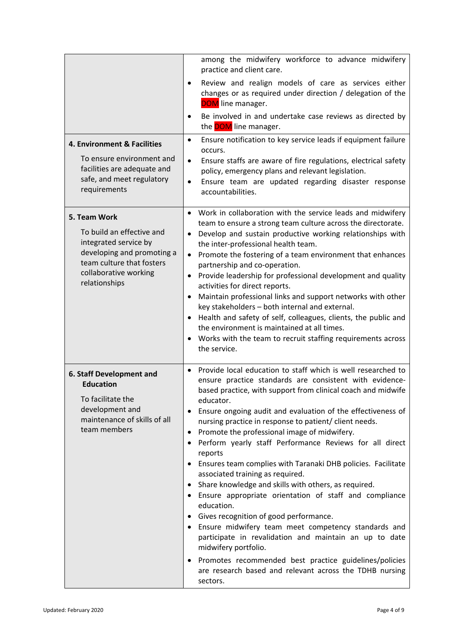| 4. Environment & Facilities<br>To ensure environment and<br>facilities are adequate and<br>safe, and meet regulatory<br>requirements                                    | among the midwifery workforce to advance midwifery<br>practice and client care.<br>Review and realign models of care as services either<br>$\bullet$<br>changes or as required under direction / delegation of the<br><b>DOM</b> line manager.<br>Be involved in and undertake case reviews as directed by<br>$\bullet$<br>the <b>DOM</b> line manager.<br>Ensure notification to key service leads if equipment failure<br>٠<br>occurs.<br>Ensure staffs are aware of fire regulations, electrical safety<br>$\bullet$<br>policy, emergency plans and relevant legislation.<br>Ensure team are updated regarding disaster response<br>accountabilities.                                                                                                                                                                                                                                                                                                                                                                                    |
|-------------------------------------------------------------------------------------------------------------------------------------------------------------------------|---------------------------------------------------------------------------------------------------------------------------------------------------------------------------------------------------------------------------------------------------------------------------------------------------------------------------------------------------------------------------------------------------------------------------------------------------------------------------------------------------------------------------------------------------------------------------------------------------------------------------------------------------------------------------------------------------------------------------------------------------------------------------------------------------------------------------------------------------------------------------------------------------------------------------------------------------------------------------------------------------------------------------------------------|
| 5. Team Work<br>To build an effective and<br>integrated service by<br>developing and promoting a<br>team culture that fosters<br>collaborative working<br>relationships | Work in collaboration with the service leads and midwifery<br>team to ensure a strong team culture across the directorate.<br>Develop and sustain productive working relationships with<br>$\bullet$<br>the inter-professional health team.<br>Promote the fostering of a team environment that enhances<br>partnership and co-operation.<br>• Provide leadership for professional development and quality<br>activities for direct reports.<br>Maintain professional links and support networks with other<br>key stakeholders - both internal and external.<br>Health and safety of self, colleagues, clients, the public and<br>the environment is maintained at all times.<br>Works with the team to recruit staffing requirements across<br>the service.                                                                                                                                                                                                                                                                               |
| 6. Staff Development and<br><b>Education</b><br>To facilitate the<br>development and<br>maintenance of skills of all<br>team members                                    | Provide local education to staff which is well researched to<br>$\bullet$<br>ensure practice standards are consistent with evidence-<br>based practice, with support from clinical coach and midwife<br>educator.<br>Ensure ongoing audit and evaluation of the effectiveness of<br>nursing practice in response to patient/ client needs.<br>Promote the professional image of midwifery.<br>Perform yearly staff Performance Reviews for all direct<br>reports<br>Ensures team complies with Taranaki DHB policies. Facilitate<br>associated training as required.<br>Share knowledge and skills with others, as required.<br>$\bullet$<br>• Ensure appropriate orientation of staff and compliance<br>education.<br>• Gives recognition of good performance.<br>• Ensure midwifery team meet competency standards and<br>participate in revalidation and maintain an up to date<br>midwifery portfolio.<br>Promotes recommended best practice guidelines/policies<br>are research based and relevant across the TDHB nursing<br>sectors. |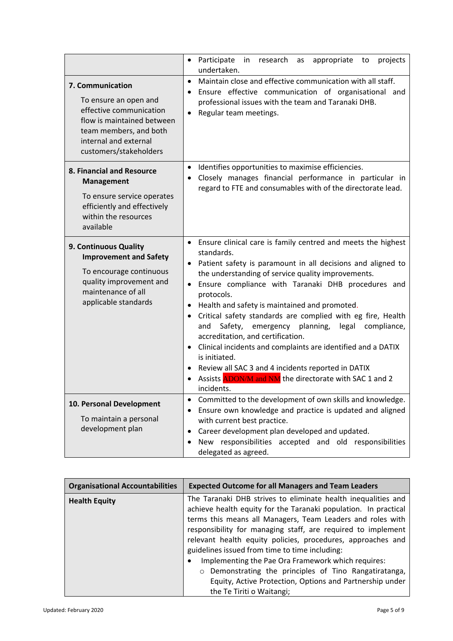|                                                                                                                                                                                 | • Participate<br>in<br>research<br>appropriate<br>projects<br>to<br>as<br>undertaken.                                                                                                                                                                                                                                                                                                                                                                                                                                                                                                                                                                                                                                                    |
|---------------------------------------------------------------------------------------------------------------------------------------------------------------------------------|------------------------------------------------------------------------------------------------------------------------------------------------------------------------------------------------------------------------------------------------------------------------------------------------------------------------------------------------------------------------------------------------------------------------------------------------------------------------------------------------------------------------------------------------------------------------------------------------------------------------------------------------------------------------------------------------------------------------------------------|
| 7. Communication<br>To ensure an open and<br>effective communication<br>flow is maintained between<br>team members, and both<br>internal and external<br>customers/stakeholders | Maintain close and effective communication with all staff.<br>$\bullet$<br>• Ensure effective communication of organisational and<br>professional issues with the team and Taranaki DHB.<br>Regular team meetings.                                                                                                                                                                                                                                                                                                                                                                                                                                                                                                                       |
| 8. Financial and Resource<br><b>Management</b><br>To ensure service operates<br>efficiently and effectively<br>within the resources<br>available                                | Identifies opportunities to maximise efficiencies.<br>$\bullet$<br>Closely manages financial performance in particular in<br>regard to FTE and consumables with of the directorate lead.                                                                                                                                                                                                                                                                                                                                                                                                                                                                                                                                                 |
| 9. Continuous Quality<br><b>Improvement and Safety</b><br>To encourage continuous<br>quality improvement and<br>maintenance of all<br>applicable standards                      | • Ensure clinical care is family centred and meets the highest<br>standards.<br>• Patient safety is paramount in all decisions and aligned to<br>the understanding of service quality improvements.<br>· Ensure compliance with Taranaki DHB procedures and<br>protocols.<br>Health and safety is maintained and promoted.<br>Critical safety standards are complied with eg fire, Health<br>$\bullet$<br>Safety,<br>emergency planning,<br>legal<br>compliance,<br>and<br>accreditation, and certification.<br>Clinical incidents and complaints are identified and a DATIX<br>$\bullet$<br>is initiated.<br>Review all SAC 3 and 4 incidents reported in DATIX<br>Assists ADON/M and NM the directorate with SAC 1 and 2<br>incidents. |
| 10. Personal Development<br>To maintain a personal<br>development plan                                                                                                          | Committed to the development of own skills and knowledge.<br>Ensure own knowledge and practice is updated and aligned<br>with current best practice.<br>Career development plan developed and updated.<br>New responsibilities accepted and old responsibilities<br>delegated as agreed.                                                                                                                                                                                                                                                                                                                                                                                                                                                 |

| <b>Organisational Accountabilities</b> | <b>Expected Outcome for all Managers and Team Leaders</b>                                                                                                                                                                                                                                                                                                                                                                             |
|----------------------------------------|---------------------------------------------------------------------------------------------------------------------------------------------------------------------------------------------------------------------------------------------------------------------------------------------------------------------------------------------------------------------------------------------------------------------------------------|
| <b>Health Equity</b>                   | The Taranaki DHB strives to eliminate health inequalities and<br>achieve health equity for the Taranaki population. In practical<br>terms this means all Managers, Team Leaders and roles with<br>responsibility for managing staff, are required to implement<br>relevant health equity policies, procedures, approaches and<br>guidelines issued from time to time including:<br>Implementing the Pae Ora Framework which requires: |
|                                        | Demonstrating the principles of Tino Rangatiratanga,<br>$\circ$<br>Equity, Active Protection, Options and Partnership under<br>the Te Tiriti o Waitangi;                                                                                                                                                                                                                                                                              |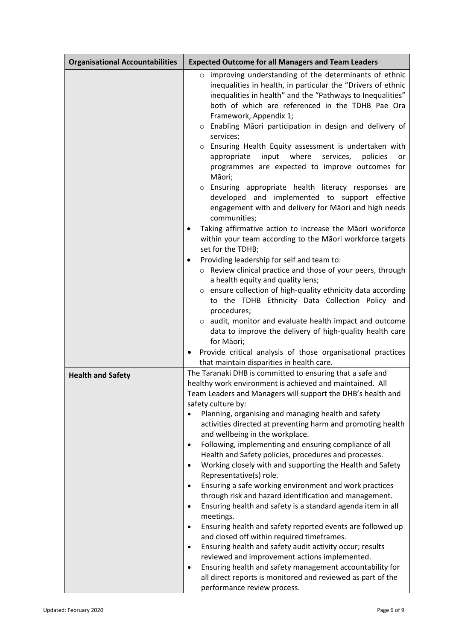| <b>Organisational Accountabilities</b> | <b>Expected Outcome for all Managers and Team Leaders</b>                                                                                                                                                                                                                                                                                                                                                                                                                                                                                                                                                                                                                                                                                                                                                                                                                                                                                                                                                                                                                                                                                                                                                                                                                         |  |
|----------------------------------------|-----------------------------------------------------------------------------------------------------------------------------------------------------------------------------------------------------------------------------------------------------------------------------------------------------------------------------------------------------------------------------------------------------------------------------------------------------------------------------------------------------------------------------------------------------------------------------------------------------------------------------------------------------------------------------------------------------------------------------------------------------------------------------------------------------------------------------------------------------------------------------------------------------------------------------------------------------------------------------------------------------------------------------------------------------------------------------------------------------------------------------------------------------------------------------------------------------------------------------------------------------------------------------------|--|
|                                        | o improving understanding of the determinants of ethnic<br>inequalities in health, in particular the "Drivers of ethnic<br>inequalities in health" and the "Pathways to Inequalities"<br>both of which are referenced in the TDHB Pae Ora<br>Framework, Appendix 1;<br>o Enabling Māori participation in design and delivery of<br>services;<br>o Ensuring Health Equity assessment is undertaken with<br>input<br>where<br>appropriate<br>services,<br>policies<br>or<br>programmes are expected to improve outcomes for<br>Māori;<br>o Ensuring appropriate health literacy responses are<br>developed and implemented to support effective<br>engagement with and delivery for Māori and high needs                                                                                                                                                                                                                                                                                                                                                                                                                                                                                                                                                                            |  |
|                                        | communities;<br>Taking affirmative action to increase the Māori workforce<br>٠<br>within your team according to the Māori workforce targets<br>set for the TDHB;<br>Providing leadership for self and team to:<br>o Review clinical practice and those of your peers, through<br>a health equity and quality lens;<br>o ensure collection of high-quality ethnicity data according<br>to the TDHB Ethnicity Data Collection Policy and<br>procedures;<br>o audit, monitor and evaluate health impact and outcome<br>data to improve the delivery of high-quality health care<br>for Māori;<br>Provide critical analysis of those organisational practices                                                                                                                                                                                                                                                                                                                                                                                                                                                                                                                                                                                                                         |  |
| <b>Health and Safety</b>               | that maintain disparities in health care.<br>The Taranaki DHB is committed to ensuring that a safe and<br>healthy work environment is achieved and maintained. All<br>Team Leaders and Managers will support the DHB's health and<br>safety culture by:<br>Planning, organising and managing health and safety<br>activities directed at preventing harm and promoting health<br>and wellbeing in the workplace.<br>Following, implementing and ensuring compliance of all<br>$\bullet$<br>Health and Safety policies, procedures and processes.<br>Working closely with and supporting the Health and Safety<br>$\bullet$<br>Representative(s) role.<br>Ensuring a safe working environment and work practices<br>$\bullet$<br>through risk and hazard identification and management.<br>Ensuring health and safety is a standard agenda item in all<br>٠<br>meetings.<br>Ensuring health and safety reported events are followed up<br>٠<br>and closed off within required timeframes.<br>Ensuring health and safety audit activity occur; results<br>$\bullet$<br>reviewed and improvement actions implemented.<br>Ensuring health and safety management accountability for<br>٠<br>all direct reports is monitored and reviewed as part of the<br>performance review process. |  |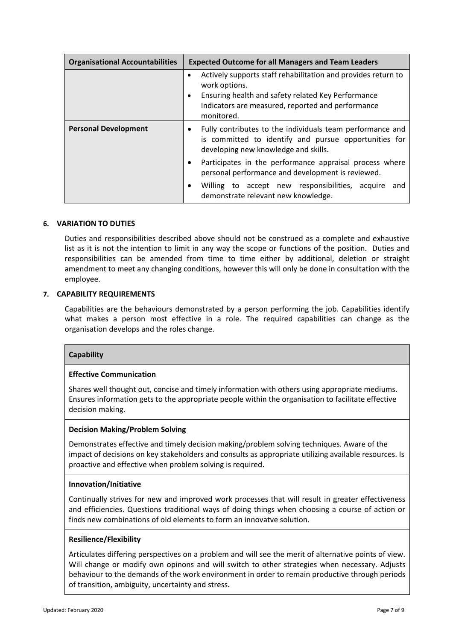| <b>Organisational Accountabilities</b> | <b>Expected Outcome for all Managers and Team Leaders</b>                                                                                                                                               |
|----------------------------------------|---------------------------------------------------------------------------------------------------------------------------------------------------------------------------------------------------------|
|                                        | Actively supports staff rehabilitation and provides return to<br>work options.<br>Ensuring health and safety related Key Performance<br>Indicators are measured, reported and performance<br>monitored. |
| <b>Personal Development</b>            | Fully contributes to the individuals team performance and<br>is committed to identify and pursue opportunities for<br>developing new knowledge and skills.                                              |
|                                        | Participates in the performance appraisal process where<br>٠<br>personal performance and development is reviewed.                                                                                       |
|                                        | Willing to accept new responsibilities, acquire<br>and<br>demonstrate relevant new knowledge.                                                                                                           |

## **6. VARIATION TO DUTIES**

Duties and responsibilities described above should not be construed as a complete and exhaustive list as it is not the intention to limit in any way the scope or functions of the position. Duties and responsibilities can be amended from time to time either by additional, deletion or straight amendment to meet any changing conditions, however this will only be done in consultation with the employee.

#### **7. CAPABILITY REQUIREMENTS**

Capabilities are the behaviours demonstrated by a person performing the job. Capabilities identify what makes a person most effective in a role. The required capabilities can change as the organisation develops and the roles change.

#### **Capability**

#### **Effective Communication**

Shares well thought out, concise and timely information with others using appropriate mediums. Ensures information gets to the appropriate people within the organisation to facilitate effective decision making.

#### **Decision Making/Problem Solving**

Demonstrates effective and timely decision making/problem solving techniques. Aware of the impact of decisions on key stakeholders and consults as appropriate utilizing available resources. Is proactive and effective when problem solving is required.

#### **Innovation/Initiative**

Continually strives for new and improved work processes that will result in greater effectiveness and efficiencies. Questions traditional ways of doing things when choosing a course of action or finds new combinations of old elements to form an innovatve solution.

#### **Resilience/Flexibility**

Articulates differing perspectives on a problem and will see the merit of alternative points of view. Will change or modify own opinons and will switch to other strategies when necessary. Adjusts behaviour to the demands of the work environment in order to remain productive through periods of transition, ambiguity, uncertainty and stress.